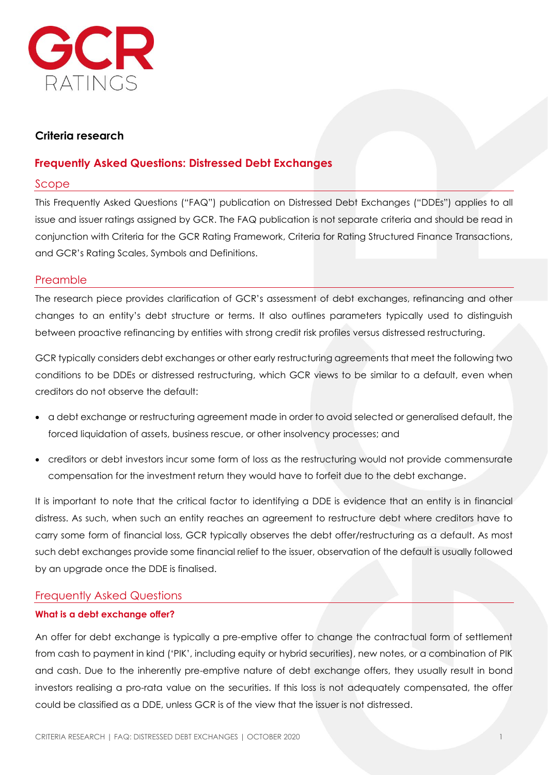

# **Criteria research**

# **Frequently Asked Questions: Distressed Debt Exchanges**

## Scope

This Frequently Asked Questions ("FAQ") publication on Distressed Debt Exchanges ("DDEs") applies to all issue and issuer ratings assigned by GCR. The FAQ publication is not separate criteria and should be read in conjunction with Criteria for the GCR Rating Framework, Criteria for Rating Structured Finance Transactions, and GCR's Rating Scales, Symbols and Definitions.

## Preamble

The research piece provides clarification of GCR's assessment of debt exchanges, refinancing and other changes to an entity's debt structure or terms. It also outlines parameters typically used to distinguish between proactive refinancing by entities with strong credit risk profiles versus distressed restructuring.

GCR typically considers debt exchanges or other early restructuring agreements that meet the following two conditions to be DDEs or distressed restructuring, which GCR views to be similar to a default, even when creditors do not observe the default:

- a debt exchange or restructuring agreement made in order to avoid selected or generalised default, the forced liquidation of assets, business rescue, or other insolvency processes; and
- creditors or debt investors incur some form of loss as the restructuring would not provide commensurate compensation for the investment return they would have to forfeit due to the debt exchange.

It is important to note that the critical factor to identifying a DDE is evidence that an entity is in financial distress. As such, when such an entity reaches an agreement to restructure debt where creditors have to carry some form of financial loss, GCR typically observes the debt offer/restructuring as a default. As most such debt exchanges provide some financial relief to the issuer, observation of the default is usually followed by an upgrade once the DDE is finalised.

# Frequently Asked Questions

## **What is a debt exchange offer?**

An offer for debt exchange is typically a pre-emptive offer to change the contractual form of settlement from cash to payment in kind ('PIK', including equity or hybrid securities), new notes, or a combination of PIK and cash. Due to the inherently pre-emptive nature of debt exchange offers, they usually result in bond investors realising a pro-rata value on the securities. If this loss is not adequately compensated, the offer could be classified as a DDE, unless GCR is of the view that the issuer is not distressed.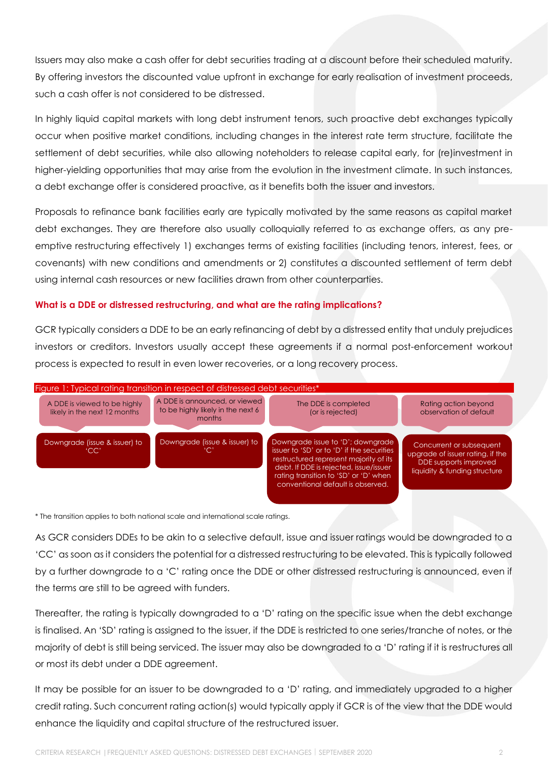Issuers may also make a cash offer for debt securities trading at a discount before their scheduled maturity. By offering investors the discounted value upfront in exchange for early realisation of investment proceeds, such a cash offer is not considered to be distressed.

In highly liquid capital markets with long debt instrument tenors, such proactive debt exchanges typically occur when positive market conditions, including changes in the interest rate term structure, facilitate the settlement of debt securities, while also allowing noteholders to release capital early, for (re)investment in higher-yielding opportunities that may arise from the evolution in the investment climate. In such instances, a debt exchange offer is considered proactive, as it benefits both the issuer and investors.

Proposals to refinance bank facilities early are typically motivated by the same reasons as capital market debt exchanges. They are therefore also usually colloquially referred to as exchange offers, as any preemptive restructuring effectively 1) exchanges terms of existing facilities (including tenors, interest, fees, or covenants) with new conditions and amendments or 2) constitutes a discounted settlement of term debt using internal cash resources or new facilities drawn from other counterparties.

### **What is a DDE or distressed restructuring, and what are the rating implications?**

GCR typically considers a DDE to be an early refinancing of debt by a distressed entity that unduly prejudices investors or creditors. Investors usually accept these agreements if a normal post-enforcement workout process is expected to result in even lower recoveries, or a long recovery process.



\* The transition applies to both national scale and international scale ratings.

As GCR considers DDEs to be akin to a selective default, issue and issuer ratings would be downgraded to a 'CC' as soon as it considers the potential for a distressed restructuring to be elevated. This is typically followed by a further downgrade to a 'C' rating once the DDE or other distressed restructuring is announced, even if the terms are still to be agreed with funders.

Thereafter, the rating is typically downgraded to a 'D' rating on the specific issue when the debt exchange is finalised. An 'SD' rating is assigned to the issuer, if the DDE is restricted to one series/tranche of notes, or the majority of debt is still being serviced. The issuer may also be downgraded to a 'D' rating if it is restructures all or most its debt under a DDE agreement.

It may be possible for an issuer to be downgraded to a 'D' rating, and immediately upgraded to a higher credit rating. Such concurrent rating action(s) would typically apply if GCR is of the view that the DDE would enhance the liquidity and capital structure of the restructured issuer.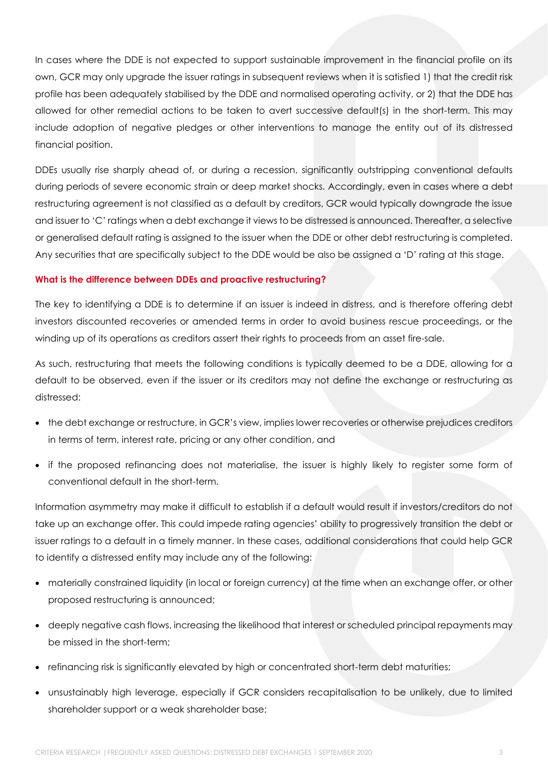In cases where the DDE is not expected to support sustainable improvement in the financial profile on its own, GCR may only upgrade the issuer ratings in subsequent reviews when it is satisfied 1) that the credit risk profile has been adequately stabilised by the DDE and normalised operating activity, or 2) that the DDE has allowed for other remedial actions to be taken to avert successive default(s) in the short-term. This may include adoption of negative pledges or other interventions to manage the entity out of its distressed financial position.

DDEs usually rise sharply ahead of, or during a recession, significantly outstripping conventional defaults during periods of severe economic strain or deep market shocks. Accordingly, even in cases where a debt restructuring agreement is not classified as a default by creditors, GCR would typically downgrade the issue and issuer to 'C' ratings when a debt exchange it views to be distressed is announced. Thereafter, a selective or generalised default rating is assigned to the issuer when the DDE or other debt restructuring is completed. Any securities that are specifically subject to the DDE would be also be assigned a 'D' rating at this stage.

### **What is the difference between DDEs and proactive restructuring?**

The key to identifying a DDE is to determine if an issuer is indeed in distress, and is therefore offering debt investors discounted recoveries or amended terms in order to avoid business rescue proceedings, or the winding up of its operations as creditors assert their rights to proceeds from an asset fire-sale.

As such, restructuring that meets the following conditions is typically deemed to be a DDE, allowing for a default to be observed, even if the issuer or its creditors may not define the exchange or restructuring as distressed:

- the debt exchange or restructure, in GCR's view, implies lower recoveries or otherwise prejudices creditors in terms of term, interest rate, pricing or any other condition, and
- if the proposed refinancing does not materialise, the issuer is highly likely to register some form of conventional default in the short-term.

Information asymmetry may make it difficult to establish if a default would result if investors/creditors do not take up an exchange offer. This could impede rating agencies' ability to progressively transition the debt or issuer ratings to a default in a timely manner. In these cases, additional considerations that could help GCR to identify a distressed entity may include any of the following:

- materially constrained liquidity (in local or foreign currency) at the time when an exchange offer, or other proposed restructuring is announced;
- deeply negative cash flows, increasing the likelihood that interest or scheduled principal repayments may be missed in the short-term;
- refinancing risk is significantly elevated by high or concentrated short-term debt maturities;
- unsustainably high leverage, especially if GCR considers recapitalisation to be unlikely, due to limited shareholder support or a weak shareholder base;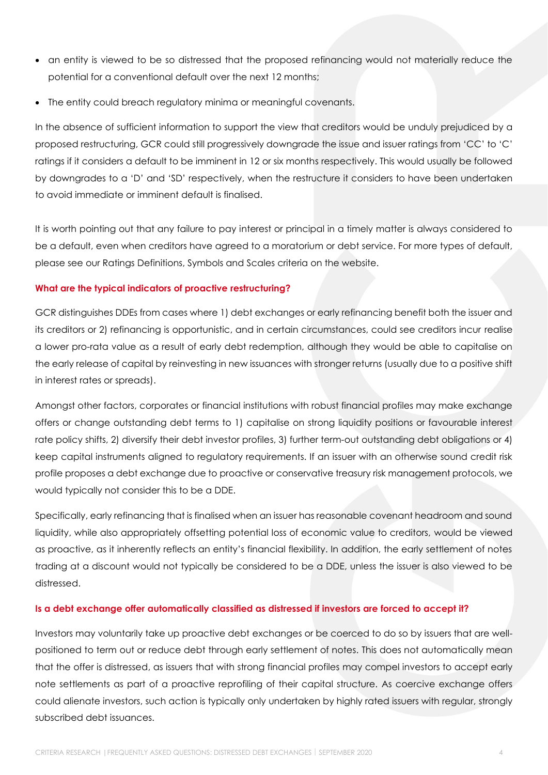- an entity is viewed to be so distressed that the proposed refinancing would not materially reduce the potential for a conventional default over the next 12 months;
- The entity could breach regulatory minima or meaningful covenants.

In the absence of sufficient information to support the view that creditors would be unduly prejudiced by a proposed restructuring, GCR could still progressively downgrade the issue and issuer ratings from 'CC' to 'C' ratings if it considers a default to be imminent in 12 or six months respectively. This would usually be followed by downgrades to a 'D' and 'SD' respectively, when the restructure it considers to have been undertaken to avoid immediate or imminent default is finalised.

It is worth pointing out that any failure to pay interest or principal in a timely matter is always considered to be a default, even when creditors have agreed to a moratorium or debt service. For more types of default, please see our Ratings Definitions, Symbols and Scales criteria on the website.

### **What are the typical indicators of proactive restructuring?**

GCR distinguishes DDEs from cases where 1) debt exchanges or early refinancing benefit both the issuer and its creditors or 2) refinancing is opportunistic, and in certain circumstances, could see creditors incur realise a lower pro-rata value as a result of early debt redemption, although they would be able to capitalise on the early release of capital by reinvesting in new issuances with stronger returns (usually due to a positive shift in interest rates or spreads).

Amongst other factors, corporates or financial institutions with robust financial profiles may make exchange offers or change outstanding debt terms to 1) capitalise on strong liquidity positions or favourable interest rate policy shifts, 2) diversify their debt investor profiles, 3) further term-out outstanding debt obligations or 4) keep capital instruments aligned to regulatory requirements. If an issuer with an otherwise sound credit risk profile proposes a debt exchange due to proactive or conservative treasury risk management protocols, we would typically not consider this to be a DDE.

Specifically, early refinancing that is finalised when an issuer has reasonable covenant headroom and sound liquidity, while also appropriately offsetting potential loss of economic value to creditors, would be viewed as proactive, as it inherently reflects an entity's financial flexibility. In addition, the early settlement of notes trading at a discount would not typically be considered to be a DDE, unless the issuer is also viewed to be distressed.

### **Is a debt exchange offer automatically classified as distressed if investors are forced to accept it?**

Investors may voluntarily take up proactive debt exchanges or be coerced to do so by issuers that are wellpositioned to term out or reduce debt through early settlement of notes. This does not automatically mean that the offer is distressed, as issuers that with strong financial profiles may compel investors to accept early note settlements as part of a proactive reprofiling of their capital structure. As coercive exchange offers could alienate investors, such action is typically only undertaken by highly rated issuers with regular, strongly subscribed debt issuances.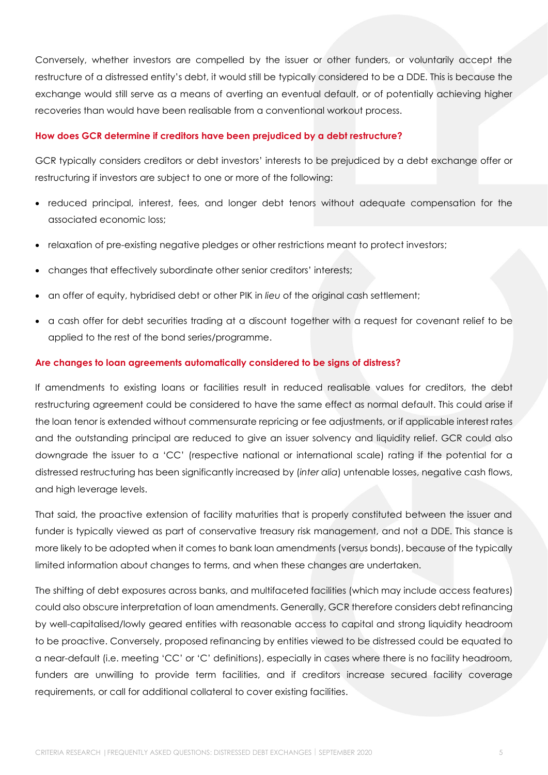Conversely, whether investors are compelled by the issuer or other funders, or voluntarily accept the restructure of a distressed entity's debt, it would still be typically considered to be a DDE. This is because the exchange would still serve as a means of averting an eventual default, or of potentially achieving higher recoveries than would have been realisable from a conventional workout process.

#### **How does GCR determine if creditors have been prejudiced by a debt restructure?**

GCR typically considers creditors or debt investors' interests to be prejudiced by a debt exchange offer or restructuring if investors are subject to one or more of the following:

- reduced principal, interest, fees, and longer debt tenors without adequate compensation for the associated economic loss;
- relaxation of pre-existing negative pledges or other restrictions meant to protect investors;
- changes that effectively subordinate other senior creditors' interests;
- an offer of equity, hybridised debt or other PIK in *lieu* of the original cash settlement;
- a cash offer for debt securities trading at a discount together with a request for covenant relief to be applied to the rest of the bond series/programme.

#### **Are changes to loan agreements automatically considered to be signs of distress?**

If amendments to existing loans or facilities result in reduced realisable values for creditors, the debt restructuring agreement could be considered to have the same effect as normal default. This could arise if the loan tenor is extended without commensurate repricing or fee adjustments, or if applicable interest rates and the outstanding principal are reduced to give an issuer solvency and liquidity relief. GCR could also downgrade the issuer to a 'CC' (respective national or international scale) rating if the potential for a distressed restructuring has been significantly increased by (*inter alia*) untenable losses, negative cash flows, and high leverage levels.

That said, the proactive extension of facility maturities that is properly constituted between the issuer and funder is typically viewed as part of conservative treasury risk management, and not a DDE. This stance is more likely to be adopted when it comes to bank loan amendments (versus bonds), because of the typically limited information about changes to terms, and when these changes are undertaken.

The shifting of debt exposures across banks, and multifaceted facilities (which may include access features) could also obscure interpretation of loan amendments. Generally, GCR therefore considers debt refinancing by well-capitalised/lowly geared entities with reasonable access to capital and strong liquidity headroom to be proactive. Conversely, proposed refinancing by entities viewed to be distressed could be equated to a near-default (i.e. meeting 'CC' or 'C' definitions), especially in cases where there is no facility headroom, funders are unwilling to provide term facilities, and if creditors increase secured facility coverage requirements, or call for additional collateral to cover existing facilities.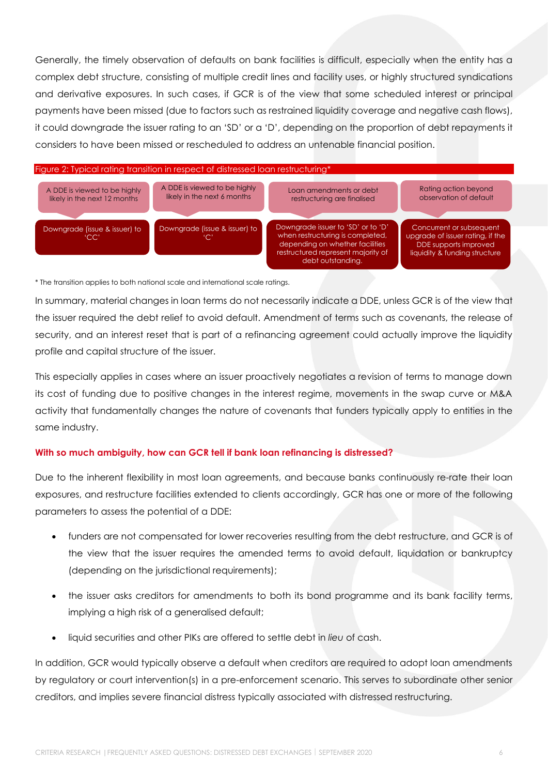Generally, the timely observation of defaults on bank facilities is difficult, especially when the entity has a complex debt structure, consisting of multiple credit lines and facility uses, or highly structured syndications and derivative exposures. In such cases, if GCR is of the view that some scheduled interest or principal payments have been missed (due to factors such as restrained liquidity coverage and negative cash flows), it could downgrade the issuer rating to an 'SD' or a 'D', depending on the proportion of debt repayments it considers to have been missed or rescheduled to address an untenable financial position.

#### Figure 2: Typical rating transition in respect of distressed loan restructuring\*



\* The transition applies to both national scale and international scale ratings.

In summary, material changes in loan terms do not necessarily indicate a DDE, unless GCR is of the view that the issuer required the debt relief to avoid default. Amendment of terms such as covenants, the release of security, and an interest reset that is part of a refinancing agreement could actually improve the liquidity profile and capital structure of the issuer.

This especially applies in cases where an issuer proactively negotiates a revision of terms to manage down its cost of funding due to positive changes in the interest regime, movements in the swap curve or M&A activity that fundamentally changes the nature of covenants that funders typically apply to entities in the same industry.

### **With so much ambiguity, how can GCR tell if bank loan refinancing is distressed?**

Due to the inherent flexibility in most loan agreements, and because banks continuously re-rate their loan exposures, and restructure facilities extended to clients accordingly, GCR has one or more of the following parameters to assess the potential of a DDE:

- funders are not compensated for lower recoveries resulting from the debt restructure, and GCR is of the view that the issuer requires the amended terms to avoid default, liquidation or bankruptcy (depending on the jurisdictional requirements);
- the issuer asks creditors for amendments to both its bond programme and its bank facility terms, implying a high risk of a generalised default;
- liquid securities and other PIKs are offered to settle debt in *lieu* of cash.

In addition, GCR would typically observe a default when creditors are required to adopt loan amendments by regulatory or court intervention(s) in a pre-enforcement scenario. This serves to subordinate other senior creditors, and implies severe financial distress typically associated with distressed restructuring.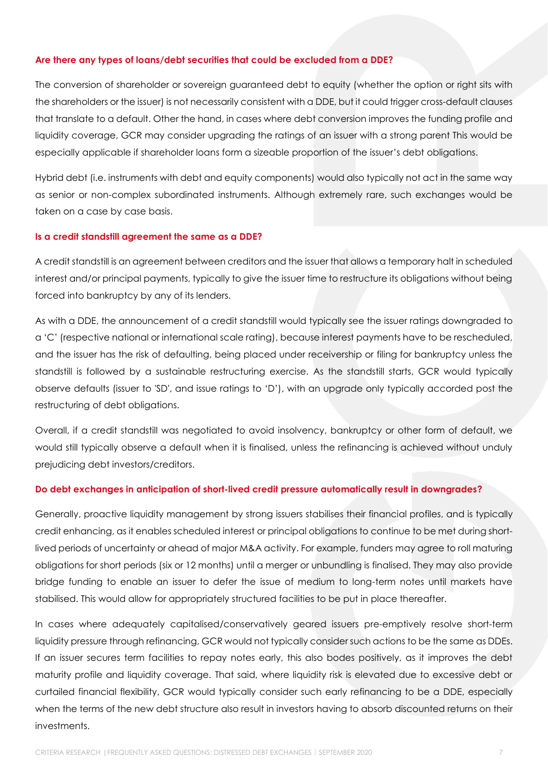### **Are there any types of loans/debt securities that could be excluded from a DDE?**

The conversion of shareholder or sovereign guaranteed debt to equity (whether the option or right sits with the shareholders or the issuer) is not necessarily consistent with a DDE, but it could trigger cross-default clauses that translate to a default. Other the hand, in cases where debt conversion improves the funding profile and liquidity coverage, GCR may consider upgrading the ratings of an issuer with a strong parent This would be especially applicable if shareholder loans form a sizeable proportion of the issuer's debt obligations.

Hybrid debt (i.e. instruments with debt and equity components) would also typically not act in the same way as senior or non-complex subordinated instruments. Although extremely rare, such exchanges would be taken on a case by case basis.

#### **Is a credit standstill agreement the same as a DDE?**

A credit standstill is an agreement between creditors and the issuer that allows a temporary halt in scheduled interest and/or principal payments, typically to give the issuer time to restructure its obligations without being forced into bankruptcy by any of its lenders.

As with a DDE, the announcement of a credit standstill would typically see the issuer ratings downgraded to a 'C' (respective national or international scale rating), because interest payments have to be rescheduled, and the issuer has the risk of defaulting, being placed under receivership or filing for bankruptcy unless the standstill is followed by a sustainable restructuring exercise. As the standstill starts, GCR would typically observe defaults (issuer to 'SD', and issue ratings to 'D'), with an upgrade only typically accorded post the restructuring of debt obligations.

Overall, if a credit standstill was negotiated to avoid insolvency, bankruptcy or other form of default, we would still typically observe a default when it is finalised, unless the refinancing is achieved without unduly prejudicing debt investors/creditors.

#### **Do debt exchanges in anticipation of short-lived credit pressure automatically result in downgrades?**

Generally, proactive liquidity management by strong issuers stabilises their financial profiles, and is typically credit enhancing, as it enables scheduled interest or principal obligations to continue to be met during shortlived periods of uncertainty or ahead of major M&A activity. For example, funders may agree to roll maturing obligations for short periods (six or 12 months) until a merger or unbundling is finalised. They may also provide bridge funding to enable an issuer to defer the issue of medium to long-term notes until markets have stabilised. This would allow for appropriately structured facilities to be put in place thereafter.

In cases where adequately capitalised/conservatively geared issuers pre-emptively resolve short-term liquidity pressure through refinancing, GCR would not typically consider such actions to be the same as DDEs. If an issuer secures term facilities to repay notes early, this also bodes positively, as it improves the debt maturity profile and liquidity coverage. That said, where liquidity risk is elevated due to excessive debt or curtailed financial flexibility, GCR would typically consider such early refinancing to be a DDE, especially when the terms of the new debt structure also result in investors having to absorb discounted returns on their investments.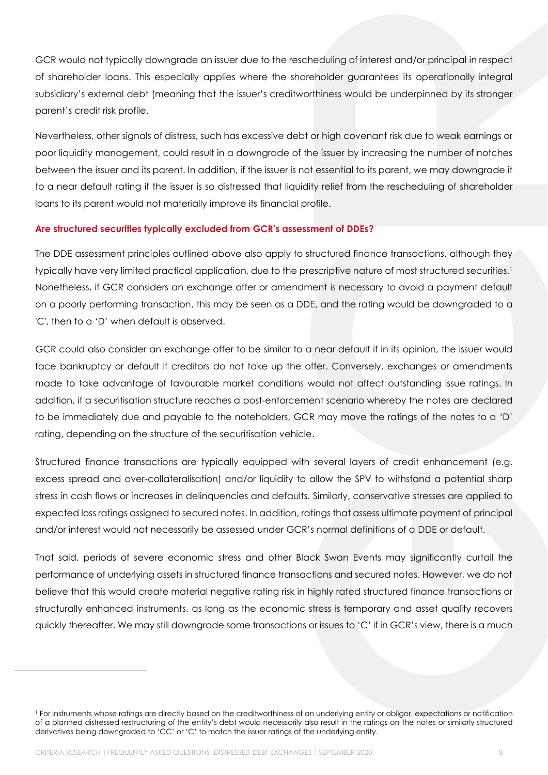GCR would not typically downgrade an issuer due to the rescheduling of interest and/or principal in respect of shareholder loans. This especially applies where the shareholder guarantees its operationally integral subsidiary's external debt (meaning that the issuer's creditworthiness would be underpinned by its stronger parent's credit risk profile.

Nevertheless, other signals of distress, such has excessive debt or high covenant risk due to weak earnings or poor liquidity management, could result in a downgrade of the issuer by increasing the number of notches between the issuer and its parent. In addition, if the issuer is not essential to its parent, we may downgrade it to a near default rating if the issuer is so distressed that liquidity relief from the rescheduling of shareholder loans to its parent would not materially improve its financial profile.

#### **Are structured securities typically excluded from GCR's assessment of DDEs?**

The DDE assessment principles outlined above also apply to structured finance transactions, although they typically have very limited practical application, due to the prescriptive nature of most structured securities. 1 Nonetheless, if GCR considers an exchange offer or amendment is necessary to avoid a payment default on a poorly performing transaction, this may be seen as a DDE, and the rating would be downgraded to a 'C', then to a 'D' when default is observed.

GCR could also consider an exchange offer to be similar to a near default if in its opinion, the issuer would face bankruptcy or default if creditors do not take up the offer. Conversely, exchanges or amendments made to take advantage of favourable market conditions would not affect outstanding issue ratings. In addition, if a securitisation structure reaches a post-enforcement scenario whereby the notes are declared to be immediately due and payable to the noteholders, GCR may move the ratings of the notes to a 'D' rating, depending on the structure of the securitisation vehicle.

Structured finance transactions are typically equipped with several layers of credit enhancement (e.g. excess spread and over-collateralisation) and/or liquidity to allow the SPV to withstand a potential sharp stress in cash flows or increases in delinquencies and defaults. Similarly, conservative stresses are applied to expected loss ratings assigned to secured notes. In addition, ratings that assess ultimate payment of principal and/or interest would not necessarily be assessed under GCR's normal definitions of a DDE or default.

That said, periods of severe economic stress and other Black Swan Events may significantly curtail the performance of underlying assets in structured finance transactions and secured notes. However, we do not believe that this would create material negative rating risk in highly rated structured finance transactions or structurally enhanced instruments, as long as the economic stress is temporary and asset quality recovers quickly thereafter. We may still downgrade some transactions or issues to 'C' if in GCR's view, there is a much

<sup>&</sup>lt;sup>1</sup> For instruments whose ratings are directly based on the creditworthiness of an underlying entity or obligor, expectations or notification of a planned distressed restructuring of the entity's debt would necessarily also result in the ratings on the notes or similarly structured derivatives being downgraded to 'CC' or 'C' to match the issuer ratings of the underlying entity.